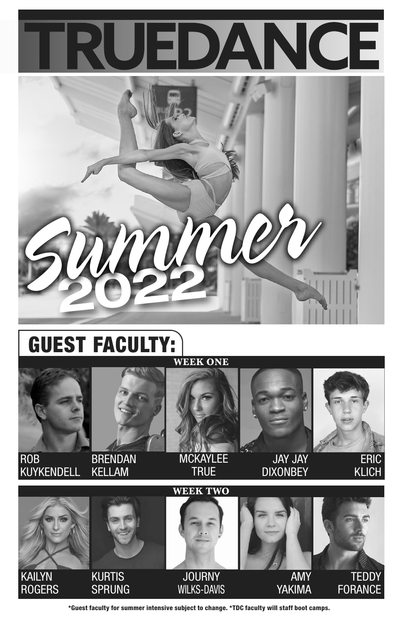



## GUEST FACULTY: **WEEK ONE**





KUYKENDELL **BRENDAN** KELLAM

**MCKAYLEE** TRUE

JAY JAY **DIXONBEY** 

 ERIC KLICH



\*Guest faculty for summer intensive subject to change. \*TDC faculty will staff boot camps.